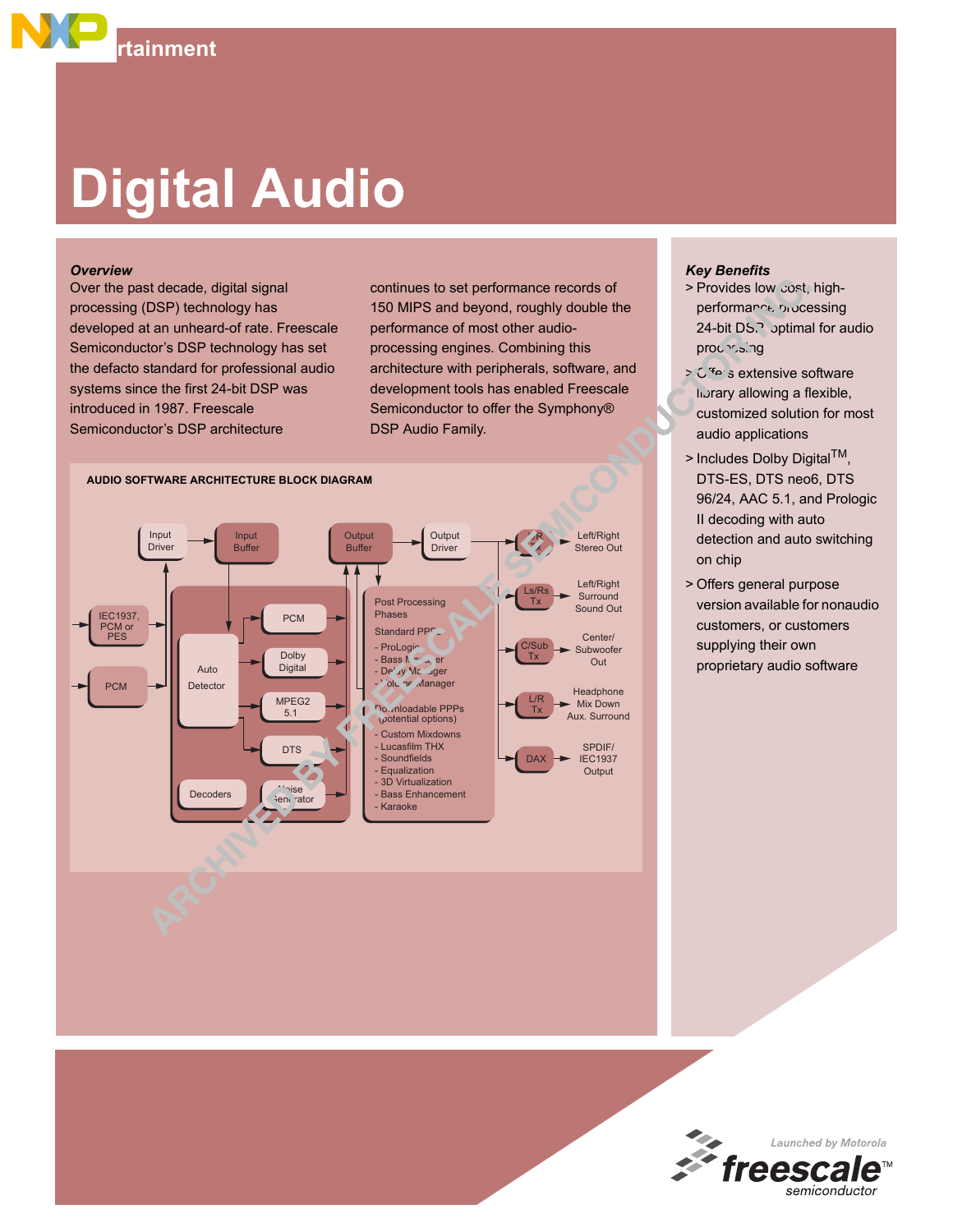## **Digital Audio**

**Entertainment** 

## *Overview*

Over the past decade, digital signal processing (DSP) technology has developed at an unheard-of rate. Freescale Semiconductor's DSP technology has set the defacto standard for professional audio systems since the first 24-bit DSP was introduced in 1987. Freescale Semiconductor's DSP architecture

continues to set performance records of 150 MIPS and beyond, roughly double the performance of most other audioprocessing engines. Combining this architecture with peripherals, software, and development tools has enabled Freescale Semiconductor to offer the Symphony® DSP Audio Family.



## *Key Benefits*

- > Provides low-cost, highperformance processing 24-bit DS.<sup>3</sup> optimal for audio processing
- $>$   $C<sup>4</sup>e<sub>2</sub>$  s extensive software library allowing a flexible, customized solution for most audio applications
- $>$  Includes Dolby Digital<sup>TM</sup>, DTS-ES, DTS neo6, DTS 96/24, AAC 5.1, and Prologic II decoding with auto detection and auto switching on chip
- > Offers general purpose version available for nonaudio customers, or customers supplying their own proprietary audio software